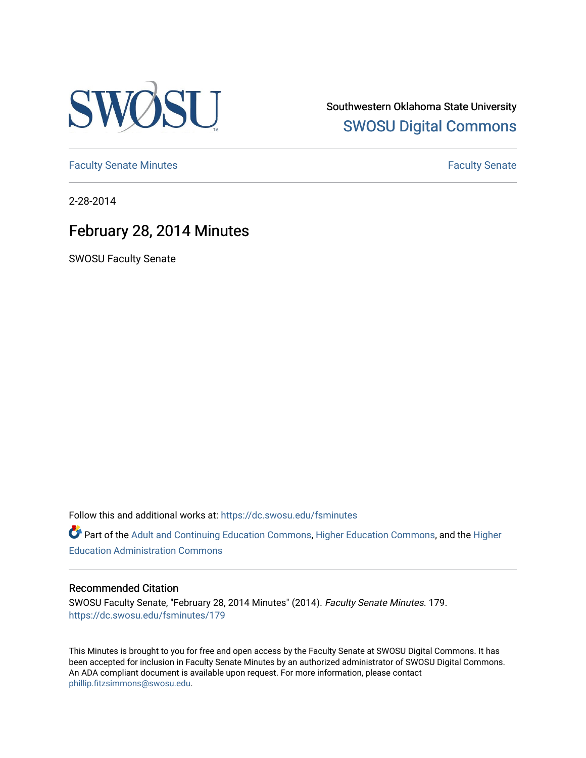

Southwestern Oklahoma State University [SWOSU Digital Commons](https://dc.swosu.edu/) 

[Faculty Senate Minutes](https://dc.swosu.edu/fsminutes) **Faculty** Senate Minutes

2-28-2014

# February 28, 2014 Minutes

SWOSU Faculty Senate

Follow this and additional works at: [https://dc.swosu.edu/fsminutes](https://dc.swosu.edu/fsminutes?utm_source=dc.swosu.edu%2Ffsminutes%2F179&utm_medium=PDF&utm_campaign=PDFCoverPages) 

Part of the [Adult and Continuing Education Commons,](http://network.bepress.com/hgg/discipline/1375?utm_source=dc.swosu.edu%2Ffsminutes%2F179&utm_medium=PDF&utm_campaign=PDFCoverPages) [Higher Education Commons,](http://network.bepress.com/hgg/discipline/1245?utm_source=dc.swosu.edu%2Ffsminutes%2F179&utm_medium=PDF&utm_campaign=PDFCoverPages) and the [Higher](http://network.bepress.com/hgg/discipline/791?utm_source=dc.swosu.edu%2Ffsminutes%2F179&utm_medium=PDF&utm_campaign=PDFCoverPages) [Education Administration Commons](http://network.bepress.com/hgg/discipline/791?utm_source=dc.swosu.edu%2Ffsminutes%2F179&utm_medium=PDF&utm_campaign=PDFCoverPages) 

#### Recommended Citation

SWOSU Faculty Senate, "February 28, 2014 Minutes" (2014). Faculty Senate Minutes. 179. [https://dc.swosu.edu/fsminutes/179](https://dc.swosu.edu/fsminutes/179?utm_source=dc.swosu.edu%2Ffsminutes%2F179&utm_medium=PDF&utm_campaign=PDFCoverPages) 

This Minutes is brought to you for free and open access by the Faculty Senate at SWOSU Digital Commons. It has been accepted for inclusion in Faculty Senate Minutes by an authorized administrator of SWOSU Digital Commons. An ADA compliant document is available upon request. For more information, please contact [phillip.fitzsimmons@swosu.edu](mailto:phillip.fitzsimmons@swosu.edu).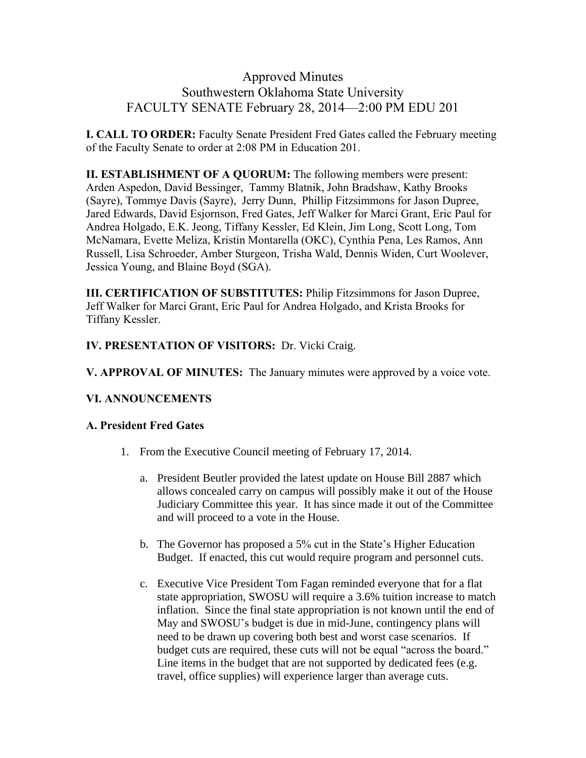## Approved Minutes Southwestern Oklahoma State University FACULTY SENATE February 28, 2014—2:00 PM EDU 201

**I. CALL TO ORDER:** Faculty Senate President Fred Gates called the February meeting of the Faculty Senate to order at 2:08 PM in Education 201.

**II. ESTABLISHMENT OF A QUORUM:** The following members were present: Arden Aspedon, David Bessinger, Tammy Blatnik, John Bradshaw, Kathy Brooks (Sayre), Tommye Davis (Sayre), Jerry Dunn, Phillip Fitzsimmons for Jason Dupree, Jared Edwards, David Esjornson, Fred Gates, Jeff Walker for Marci Grant, Eric Paul for Andrea Holgado, E.K. Jeong, Tiffany Kessler, Ed Klein, Jim Long, Scott Long, Tom McNamara, Evette Meliza, Kristin Montarella (OKC), Cynthia Pena, Les Ramos, Ann Russell, Lisa Schroeder, Amber Sturgeon, Trisha Wald, Dennis Widen, Curt Woolever, Jessica Young, and Blaine Boyd (SGA).

**III. CERTIFICATION OF SUBSTITUTES:** Philip Fitzsimmons for Jason Dupree, Jeff Walker for Marci Grant, Eric Paul for Andrea Holgado, and Krista Brooks for Tiffany Kessler.

**IV. PRESENTATION OF VISITORS:** Dr. Vicki Craig.

**V. APPROVAL OF MINUTES:** The January minutes were approved by a voice vote.

## **VI. ANNOUNCEMENTS**

## **A. President Fred Gates**

- 1. From the Executive Council meeting of February 17, 2014.
	- a. President Beutler provided the latest update on House Bill 2887 which allows concealed carry on campus will possibly make it out of the House Judiciary Committee this year. It has since made it out of the Committee and will proceed to a vote in the House.
	- b. The Governor has proposed a 5% cut in the State's Higher Education Budget. If enacted, this cut would require program and personnel cuts.
	- c. Executive Vice President Tom Fagan reminded everyone that for a flat state appropriation, SWOSU will require a 3.6% tuition increase to match inflation. Since the final state appropriation is not known until the end of May and SWOSU's budget is due in mid-June, contingency plans will need to be drawn up covering both best and worst case scenarios. If budget cuts are required, these cuts will not be equal "across the board." Line items in the budget that are not supported by dedicated fees (e.g. travel, office supplies) will experience larger than average cuts.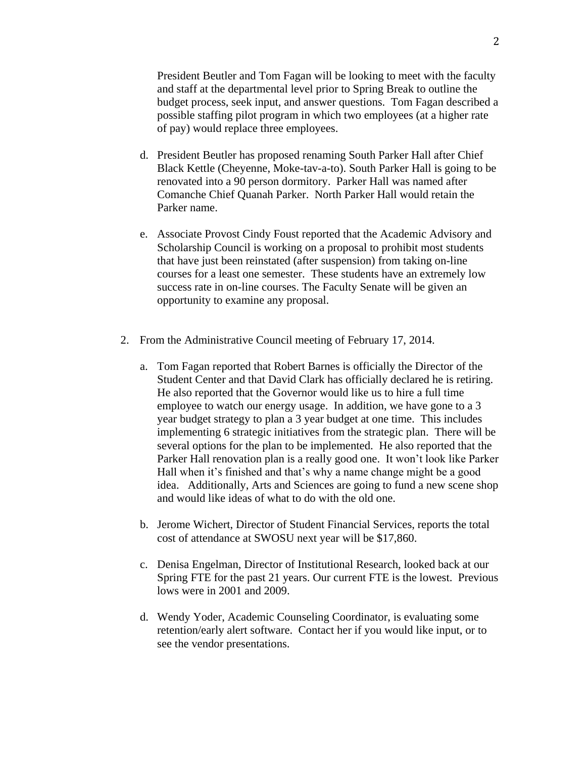President Beutler and Tom Fagan will be looking to meet with the faculty and staff at the departmental level prior to Spring Break to outline the budget process, seek input, and answer questions. Tom Fagan described a possible staffing pilot program in which two employees (at a higher rate of pay) would replace three employees.

- d. President Beutler has proposed renaming South Parker Hall after Chief Black Kettle (Cheyenne, Moke-tav-a-to). South Parker Hall is going to be renovated into a 90 person dormitory. Parker Hall was named after Comanche Chief Quanah Parker. North Parker Hall would retain the Parker name.
- e. Associate Provost Cindy Foust reported that the Academic Advisory and Scholarship Council is working on a proposal to prohibit most students that have just been reinstated (after suspension) from taking on-line courses for a least one semester. These students have an extremely low success rate in on-line courses. The Faculty Senate will be given an opportunity to examine any proposal.
- 2. From the Administrative Council meeting of February 17, 2014.
	- a. Tom Fagan reported that Robert Barnes is officially the Director of the Student Center and that David Clark has officially declared he is retiring. He also reported that the Governor would like us to hire a full time employee to watch our energy usage. In addition, we have gone to a 3 year budget strategy to plan a 3 year budget at one time. This includes implementing 6 strategic initiatives from the strategic plan. There will be several options for the plan to be implemented. He also reported that the Parker Hall renovation plan is a really good one. It won't look like Parker Hall when it's finished and that's why a name change might be a good idea. Additionally, Arts and Sciences are going to fund a new scene shop and would like ideas of what to do with the old one.
	- b. Jerome Wichert, Director of Student Financial Services, reports the total cost of attendance at SWOSU next year will be \$17,860.
	- c. Denisa Engelman, Director of Institutional Research, looked back at our Spring FTE for the past 21 years. Our current FTE is the lowest. Previous lows were in 2001 and 2009.
	- d. Wendy Yoder, Academic Counseling Coordinator, is evaluating some retention/early alert software. Contact her if you would like input, or to see the vendor presentations.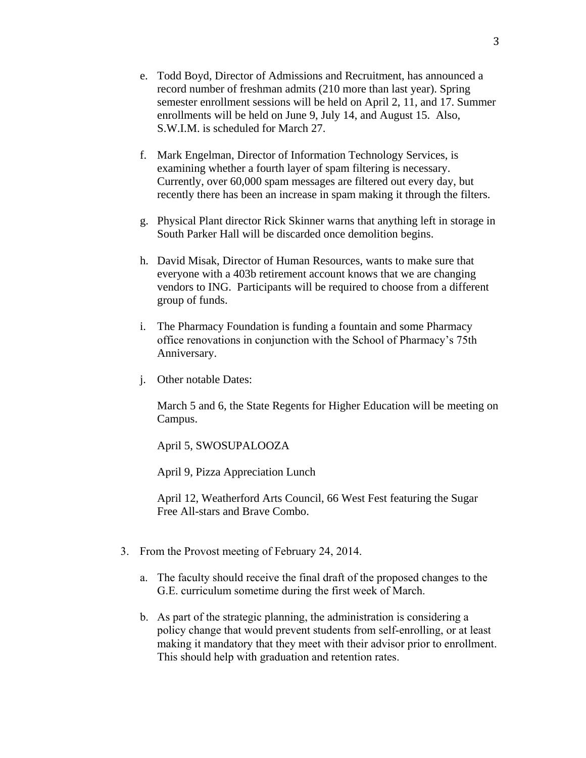- e. Todd Boyd, Director of Admissions and Recruitment, has announced a record number of freshman admits (210 more than last year). Spring semester enrollment sessions will be held on April 2, 11, and 17. Summer enrollments will be held on June 9, July 14, and August 15. Also, S.W.I.M. is scheduled for March 27.
- f. Mark Engelman, Director of Information Technology Services, is examining whether a fourth layer of spam filtering is necessary. Currently, over 60,000 spam messages are filtered out every day, but recently there has been an increase in spam making it through the filters.
- g. Physical Plant director Rick Skinner warns that anything left in storage in South Parker Hall will be discarded once demolition begins.
- h. David Misak, Director of Human Resources, wants to make sure that everyone with a 403b retirement account knows that we are changing vendors to ING. Participants will be required to choose from a different group of funds.
- i. The Pharmacy Foundation is funding a fountain and some Pharmacy office renovations in conjunction with the School of Pharmacy's 75th Anniversary.
- j. Other notable Dates:

March 5 and 6, the State Regents for Higher Education will be meeting on Campus.

April 5, SWOSUPALOOZA

April 9, Pizza Appreciation Lunch

April 12, Weatherford Arts Council, 66 West Fest featuring the Sugar Free All-stars and Brave Combo.

- 3. From the Provost meeting of February 24, 2014.
	- a. The faculty should receive the final draft of the proposed changes to the G.E. curriculum sometime during the first week of March.
	- b. As part of the strategic planning, the administration is considering a policy change that would prevent students from self-enrolling, or at least making it mandatory that they meet with their advisor prior to enrollment. This should help with graduation and retention rates.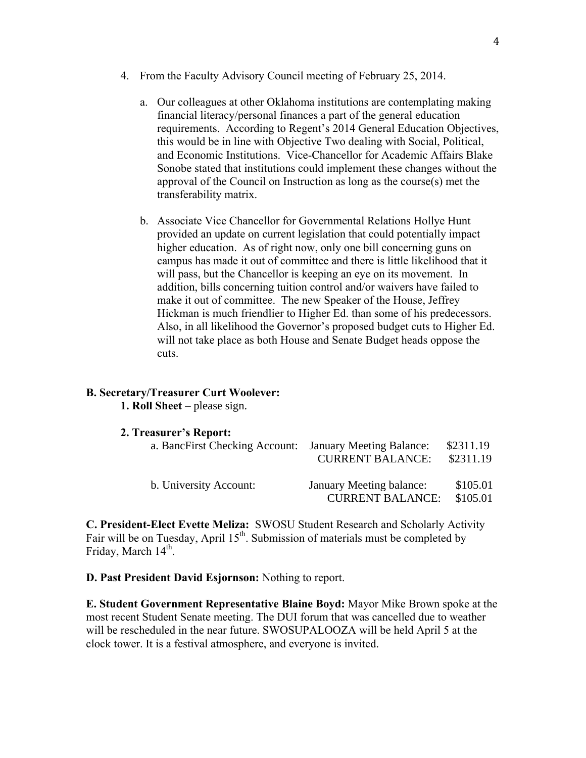- 4. From the Faculty Advisory Council meeting of February 25, 2014.
	- a. Our colleagues at other Oklahoma institutions are contemplating making financial literacy/personal finances a part of the general education requirements. According to Regent's 2014 General Education Objectives, this would be in line with Objective Two dealing with Social, Political, and Economic Institutions. Vice-Chancellor for Academic Affairs Blake Sonobe stated that institutions could implement these changes without the approval of the Council on Instruction as long as the course(s) met the transferability matrix.
	- b. Associate Vice Chancellor for Governmental Relations Hollye Hunt provided an update on current legislation that could potentially impact higher education. As of right now, only one bill concerning guns on campus has made it out of committee and there is little likelihood that it will pass, but the Chancellor is keeping an eye on its movement. In addition, bills concerning tuition control and/or waivers have failed to make it out of committee. The new Speaker of the House, Jeffrey Hickman is much friendlier to Higher Ed. than some of his predecessors. Also, in all likelihood the Governor's proposed budget cuts to Higher Ed. will not take place as both House and Senate Budget heads oppose the cuts.

## **B. Secretary/Treasurer Curt Woolever:**

**1. Roll Sheet** – please sign.

#### **2. Treasurer's Report:**

| a. BancFirst Checking Account: January Meeting Balance: | <b>CURRENT BALANCE:</b>                             | \$2311.19<br>\$2311.19 |
|---------------------------------------------------------|-----------------------------------------------------|------------------------|
| b. University Account:                                  | January Meeting balance:<br><b>CURRENT BALANCE:</b> | \$105.01<br>\$105.01   |

**C. President-Elect Evette Meliza:** SWOSU Student Research and Scholarly Activity Fair will be on Tuesday, April  $15<sup>th</sup>$ . Submission of materials must be completed by Friday, March 14<sup>th</sup>.

## **D. Past President David Esjornson:** Nothing to report.

**E. Student Government Representative Blaine Boyd:** Mayor Mike Brown spoke at the most recent Student Senate meeting. The DUI forum that was cancelled due to weather will be rescheduled in the near future. SWOSUPALOOZA will be held April 5 at the clock tower. It is a festival atmosphere, and everyone is invited.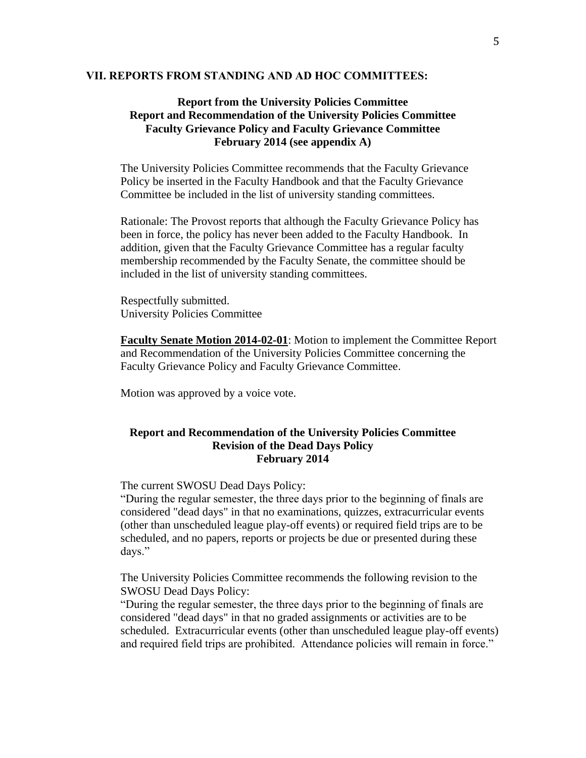#### **VII. REPORTS FROM STANDING AND AD HOC COMMITTEES:**

## **Report from the University Policies Committee Report and Recommendation of the University Policies Committee Faculty Grievance Policy and Faculty Grievance Committee February 2014 (see appendix A)**

The University Policies Committee recommends that the Faculty Grievance Policy be inserted in the Faculty Handbook and that the Faculty Grievance Committee be included in the list of university standing committees.

Rationale: The Provost reports that although the Faculty Grievance Policy has been in force, the policy has never been added to the Faculty Handbook. In addition, given that the Faculty Grievance Committee has a regular faculty membership recommended by the Faculty Senate, the committee should be included in the list of university standing committees.

Respectfully submitted. University Policies Committee

**Faculty Senate Motion 2014-02-01**: Motion to implement the Committee Report and Recommendation of the University Policies Committee concerning the Faculty Grievance Policy and Faculty Grievance Committee.

Motion was approved by a voice vote.

## **Report and Recommendation of the University Policies Committee Revision of the Dead Days Policy February 2014**

The current SWOSU Dead Days Policy:

"During the regular semester, the three days prior to the beginning of finals are considered "dead days" in that no examinations, quizzes, extracurricular events (other than unscheduled league play-off events) or required field trips are to be scheduled, and no papers, reports or projects be due or presented during these days."

The University Policies Committee recommends the following revision to the SWOSU Dead Days Policy:

"During the regular semester, the three days prior to the beginning of finals are considered "dead days" in that no graded assignments or activities are to be scheduled. Extracurricular events (other than unscheduled league play-off events) and required field trips are prohibited. Attendance policies will remain in force."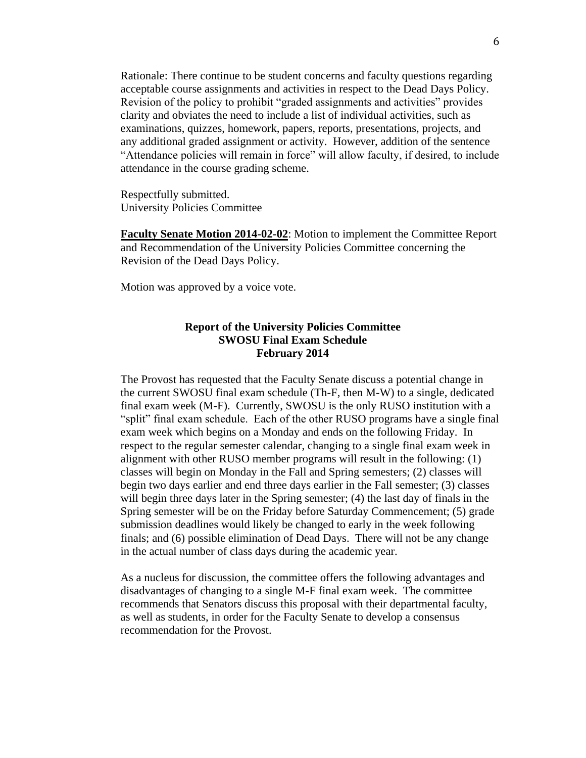Rationale: There continue to be student concerns and faculty questions regarding acceptable course assignments and activities in respect to the Dead Days Policy. Revision of the policy to prohibit "graded assignments and activities" provides clarity and obviates the need to include a list of individual activities, such as examinations, quizzes, homework, papers, reports, presentations, projects, and any additional graded assignment or activity. However, addition of the sentence "Attendance policies will remain in force" will allow faculty, if desired, to include attendance in the course grading scheme.

Respectfully submitted. University Policies Committee

**Faculty Senate Motion 2014-02-02**: Motion to implement the Committee Report and Recommendation of the University Policies Committee concerning the Revision of the Dead Days Policy.

Motion was approved by a voice vote.

## **Report of the University Policies Committee SWOSU Final Exam Schedule February 2014**

The Provost has requested that the Faculty Senate discuss a potential change in the current SWOSU final exam schedule (Th-F, then M-W) to a single, dedicated final exam week (M-F). Currently, SWOSU is the only RUSO institution with a "split" final exam schedule. Each of the other RUSO programs have a single final exam week which begins on a Monday and ends on the following Friday. In respect to the regular semester calendar, changing to a single final exam week in alignment with other RUSO member programs will result in the following: (1) classes will begin on Monday in the Fall and Spring semesters; (2) classes will begin two days earlier and end three days earlier in the Fall semester; (3) classes will begin three days later in the Spring semester; (4) the last day of finals in the Spring semester will be on the Friday before Saturday Commencement; (5) grade submission deadlines would likely be changed to early in the week following finals; and (6) possible elimination of Dead Days. There will not be any change in the actual number of class days during the academic year.

As a nucleus for discussion, the committee offers the following advantages and disadvantages of changing to a single M-F final exam week. The committee recommends that Senators discuss this proposal with their departmental faculty, as well as students, in order for the Faculty Senate to develop a consensus recommendation for the Provost.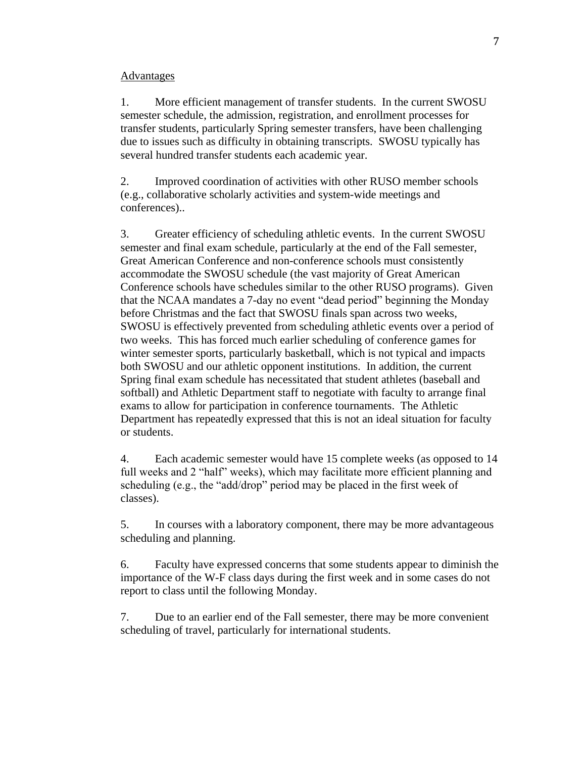#### Advantages

1. More efficient management of transfer students. In the current SWOSU semester schedule, the admission, registration, and enrollment processes for transfer students, particularly Spring semester transfers, have been challenging due to issues such as difficulty in obtaining transcripts. SWOSU typically has several hundred transfer students each academic year.

2. Improved coordination of activities with other RUSO member schools (e.g., collaborative scholarly activities and system-wide meetings and conferences)..

3. Greater efficiency of scheduling athletic events. In the current SWOSU semester and final exam schedule, particularly at the end of the Fall semester, Great American Conference and non-conference schools must consistently accommodate the SWOSU schedule (the vast majority of Great American Conference schools have schedules similar to the other RUSO programs). Given that the NCAA mandates a 7-day no event "dead period" beginning the Monday before Christmas and the fact that SWOSU finals span across two weeks, SWOSU is effectively prevented from scheduling athletic events over a period of two weeks. This has forced much earlier scheduling of conference games for winter semester sports, particularly basketball, which is not typical and impacts both SWOSU and our athletic opponent institutions. In addition, the current Spring final exam schedule has necessitated that student athletes (baseball and softball) and Athletic Department staff to negotiate with faculty to arrange final exams to allow for participation in conference tournaments. The Athletic Department has repeatedly expressed that this is not an ideal situation for faculty or students.

4. Each academic semester would have 15 complete weeks (as opposed to 14 full weeks and 2 "half" weeks), which may facilitate more efficient planning and scheduling (e.g., the "add/drop" period may be placed in the first week of classes).

5. In courses with a laboratory component, there may be more advantageous scheduling and planning.

6. Faculty have expressed concerns that some students appear to diminish the importance of the W-F class days during the first week and in some cases do not report to class until the following Monday.

7. Due to an earlier end of the Fall semester, there may be more convenient scheduling of travel, particularly for international students.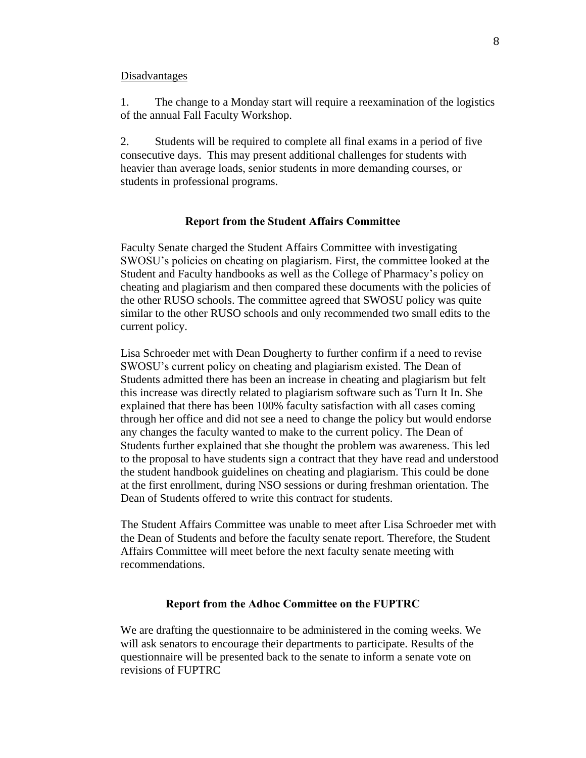#### Disadvantages

1. The change to a Monday start will require a reexamination of the logistics of the annual Fall Faculty Workshop.

2. Students will be required to complete all final exams in a period of five consecutive days. This may present additional challenges for students with heavier than average loads, senior students in more demanding courses, or students in professional programs.

## **Report from the Student Affairs Committee**

Faculty Senate charged the Student Affairs Committee with investigating SWOSU's policies on cheating on plagiarism. First, the committee looked at the Student and Faculty handbooks as well as the College of Pharmacy's policy on cheating and plagiarism and then compared these documents with the policies of the other RUSO schools. The committee agreed that SWOSU policy was quite similar to the other RUSO schools and only recommended two small edits to the current policy.

Lisa Schroeder met with Dean Dougherty to further confirm if a need to revise SWOSU's current policy on cheating and plagiarism existed. The Dean of Students admitted there has been an increase in cheating and plagiarism but felt this increase was directly related to plagiarism software such as Turn It In. She explained that there has been 100% faculty satisfaction with all cases coming through her office and did not see a need to change the policy but would endorse any changes the faculty wanted to make to the current policy. The Dean of Students further explained that she thought the problem was awareness. This led to the proposal to have students sign a contract that they have read and understood the student handbook guidelines on cheating and plagiarism. This could be done at the first enrollment, during NSO sessions or during freshman orientation. The Dean of Students offered to write this contract for students.

The Student Affairs Committee was unable to meet after Lisa Schroeder met with the Dean of Students and before the faculty senate report. Therefore, the Student Affairs Committee will meet before the next faculty senate meeting with recommendations.

#### **Report from the Adhoc Committee on the FUPTRC**

We are drafting the questionnaire to be administered in the coming weeks. We will ask senators to encourage their departments to participate. Results of the questionnaire will be presented back to the senate to inform a senate vote on revisions of FUPTRC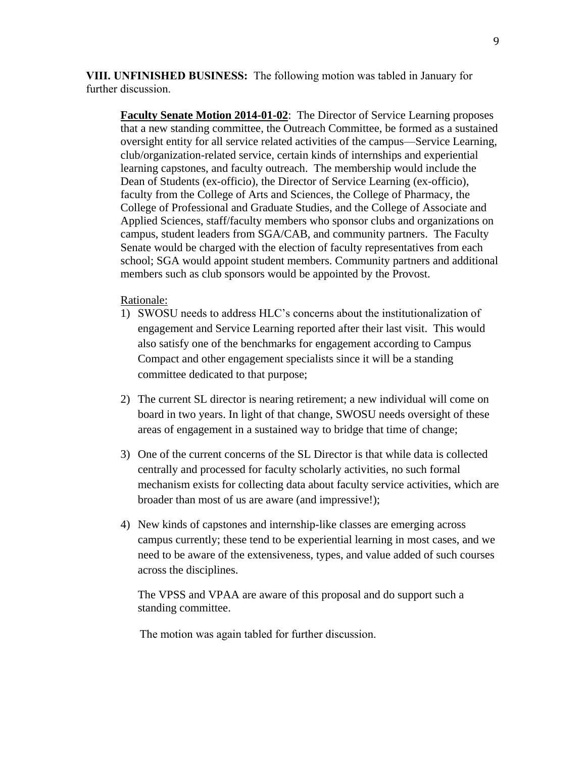**VIII. UNFINISHED BUSINESS:** The following motion was tabled in January for further discussion.

**Faculty Senate Motion 2014-01-02**: The Director of Service Learning proposes that a new standing committee, the Outreach Committee, be formed as a sustained oversight entity for all service related activities of the campus—Service Learning, club/organization-related service, certain kinds of internships and experiential learning capstones, and faculty outreach. The membership would include the Dean of Students (ex-officio), the Director of Service Learning (ex-officio), faculty from the College of Arts and Sciences, the College of Pharmacy, the College of Professional and Graduate Studies, and the College of Associate and Applied Sciences, staff/faculty members who sponsor clubs and organizations on campus, student leaders from SGA/CAB, and community partners. The Faculty Senate would be charged with the election of faculty representatives from each school; SGA would appoint student members. Community partners and additional members such as club sponsors would be appointed by the Provost.

#### Rationale:

- 1) SWOSU needs to address HLC's concerns about the institutionalization of engagement and Service Learning reported after their last visit. This would also satisfy one of the benchmarks for engagement according to Campus Compact and other engagement specialists since it will be a standing committee dedicated to that purpose;
- 2) The current SL director is nearing retirement; a new individual will come on board in two years. In light of that change, SWOSU needs oversight of these areas of engagement in a sustained way to bridge that time of change;
- 3) One of the current concerns of the SL Director is that while data is collected centrally and processed for faculty scholarly activities, no such formal mechanism exists for collecting data about faculty service activities, which are broader than most of us are aware (and impressive!);
- 4) New kinds of capstones and internship-like classes are emerging across campus currently; these tend to be experiential learning in most cases, and we need to be aware of the extensiveness, types, and value added of such courses across the disciplines.

The VPSS and VPAA are aware of this proposal and do support such a standing committee.

The motion was again tabled for further discussion.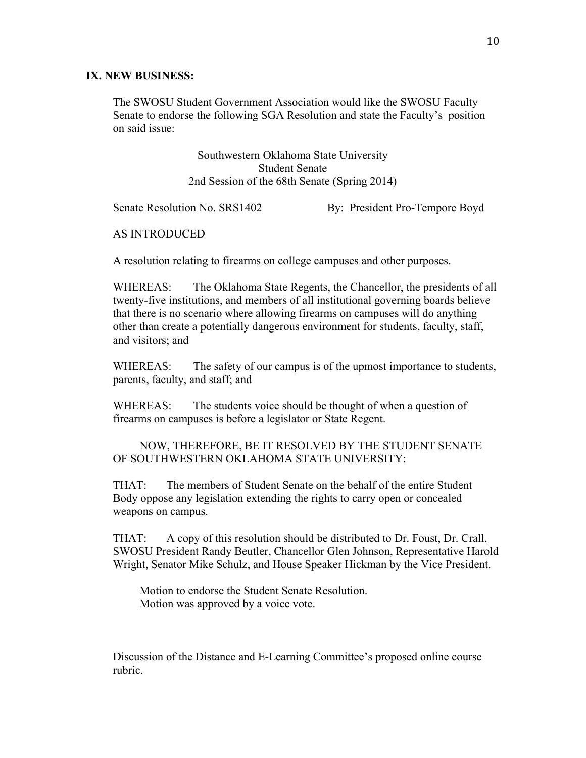## **IX. NEW BUSINESS:**

The SWOSU Student Government Association would like the SWOSU Faculty Senate to endorse the following SGA Resolution and state the Faculty's position on said issue:

> Southwestern Oklahoma State University Student Senate 2nd Session of the 68th Senate (Spring 2014)

Senate Resolution No. SRS1402 By: President Pro-Tempore Boyd

## AS INTRODUCED

A resolution relating to firearms on college campuses and other purposes.

WHEREAS: The Oklahoma State Regents, the Chancellor, the presidents of all twenty-five institutions, and members of all institutional governing boards believe that there is no scenario where allowing firearms on campuses will do anything other than create a potentially dangerous environment for students, faculty, staff, and visitors; and

WHEREAS: The safety of our campus is of the upmost importance to students, parents, faculty, and staff; and

WHEREAS: The students voice should be thought of when a question of firearms on campuses is before a legislator or State Regent.

NOW, THEREFORE, BE IT RESOLVED BY THE STUDENT SENATE OF SOUTHWESTERN OKLAHOMA STATE UNIVERSITY:

THAT: The members of Student Senate on the behalf of the entire Student Body oppose any legislation extending the rights to carry open or concealed weapons on campus.

THAT: A copy of this resolution should be distributed to Dr. Foust, Dr. Crall, SWOSU President Randy Beutler, Chancellor Glen Johnson, Representative Harold Wright, Senator Mike Schulz, and House Speaker Hickman by the Vice President.

Motion to endorse the Student Senate Resolution. Motion was approved by a voice vote.

Discussion of the Distance and E-Learning Committee's proposed online course rubric.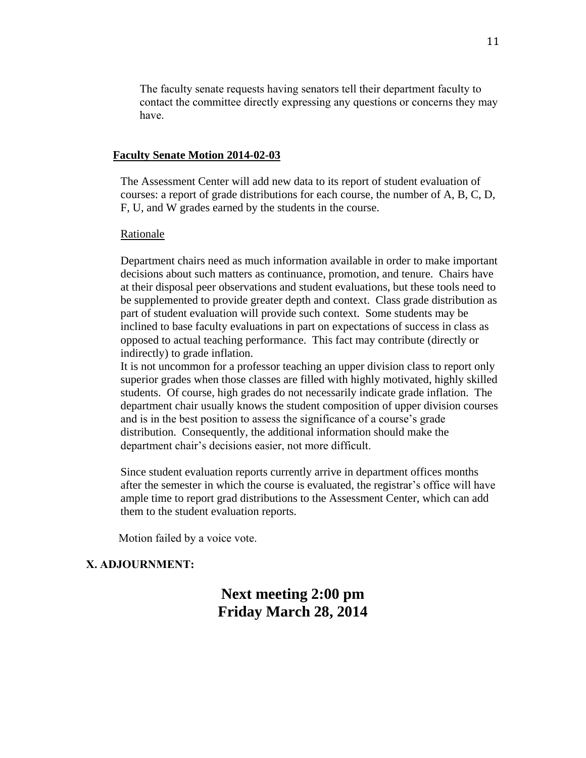The faculty senate requests having senators tell their department faculty to contact the committee directly expressing any questions or concerns they may have.

#### **Faculty Senate Motion 2014-02-03**

The Assessment Center will add new data to its report of student evaluation of courses: a report of grade distributions for each course, the number of A, B, C, D, F, U, and W grades earned by the students in the course.

#### Rationale

Department chairs need as much information available in order to make important decisions about such matters as continuance, promotion, and tenure. Chairs have at their disposal peer observations and student evaluations, but these tools need to be supplemented to provide greater depth and context. Class grade distribution as part of student evaluation will provide such context. Some students may be inclined to base faculty evaluations in part on expectations of success in class as opposed to actual teaching performance. This fact may contribute (directly or indirectly) to grade inflation.

It is not uncommon for a professor teaching an upper division class to report only superior grades when those classes are filled with highly motivated, highly skilled students. Of course, high grades do not necessarily indicate grade inflation. The department chair usually knows the student composition of upper division courses and is in the best position to assess the significance of a course's grade distribution. Consequently, the additional information should make the department chair's decisions easier, not more difficult.

Since student evaluation reports currently arrive in department offices months after the semester in which the course is evaluated, the registrar's office will have ample time to report grad distributions to the Assessment Center, which can add them to the student evaluation reports.

Motion failed by a voice vote.

## **X. ADJOURNMENT:**

# **Next meeting 2:00 pm Friday March 28, 2014**